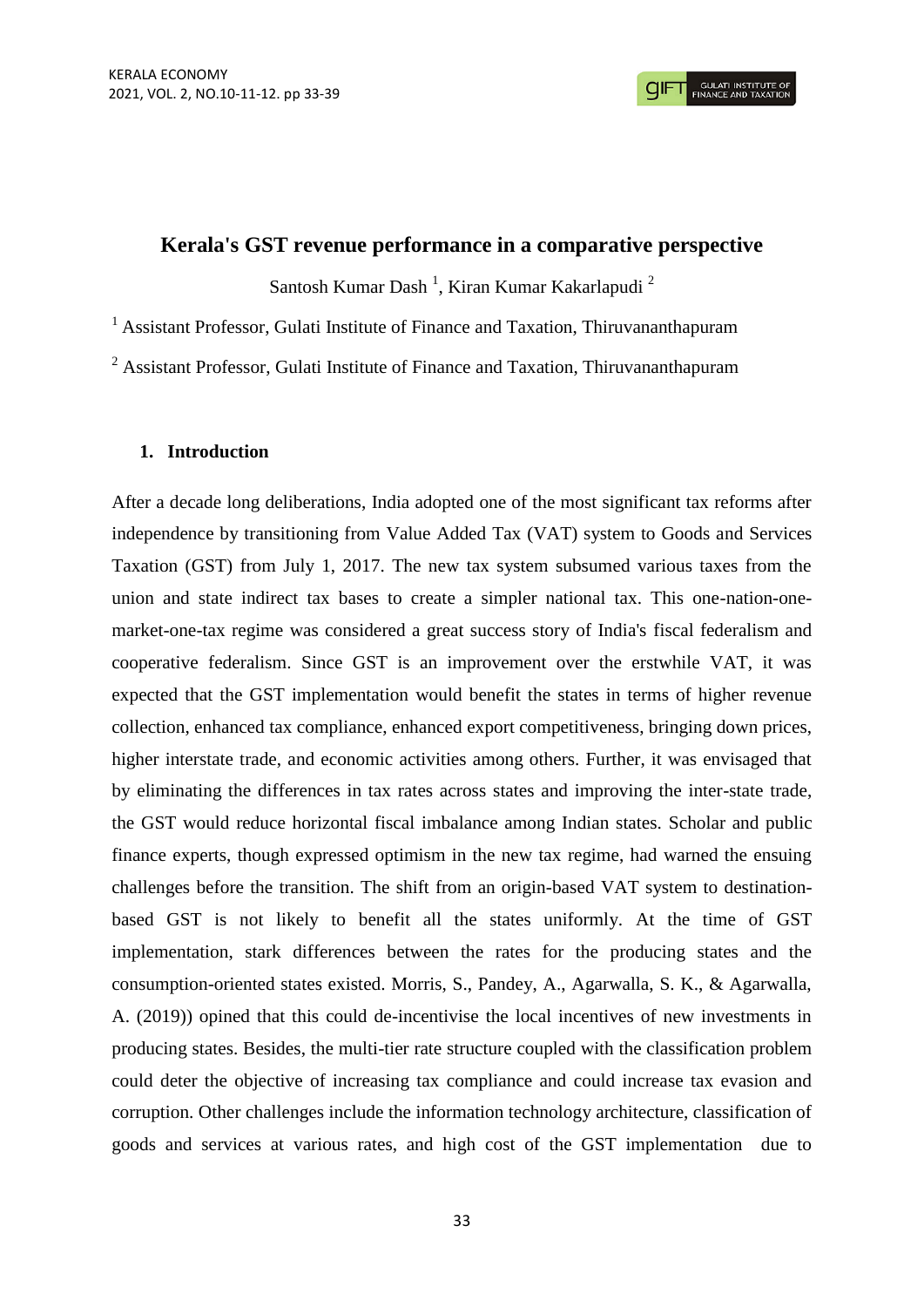## **Kerala's GST revenue performance in a comparative perspective**

Santosh Kumar Dash<sup>1</sup>, Kiran Kumar Kakarlapudi<sup>2</sup>

<sup>1</sup> Assistant Professor, Gulati Institute of Finance and Taxation, Thiruvananthapuram

 $2$  Assistant Professor, Gulati Institute of Finance and Taxation, Thiruvananthapuram

## **1. Introduction**

After a decade long deliberations, India adopted one of the most significant tax reforms after independence by transitioning from Value Added Tax (VAT) system to Goods and Services Taxation (GST) from July 1, 2017. The new tax system subsumed various taxes from the union and state indirect tax bases to create a simpler national tax. This one-nation-onemarket-one-tax regime was considered a great success story of India's fiscal federalism and cooperative federalism. Since GST is an improvement over the erstwhile VAT, it was expected that the GST implementation would benefit the states in terms of higher revenue collection, enhanced tax compliance, enhanced export competitiveness, bringing down prices, higher interstate trade, and economic activities among others. Further, it was envisaged that by eliminating the differences in tax rates across states and improving the inter-state trade, the GST would reduce horizontal fiscal imbalance among Indian states. Scholar and public finance experts, though expressed optimism in the new tax regime, had warned the ensuing challenges before the transition. The shift from an origin-based VAT system to destinationbased GST is not likely to benefit all the states uniformly. At the time of GST implementation, stark differences between the rates for the producing states and the consumption-oriented states existed. Morris, S., Pandey, A., Agarwalla, S. K., & Agarwalla, A. (2019)) opined that this could de-incentivise the local incentives of new investments in producing states. Besides, the multi-tier rate structure coupled with the classification problem could deter the objective of increasing tax compliance and could increase tax evasion and corruption. Other challenges include the information technology architecture, classification of goods and services at various rates, and high cost of the GST implementation due to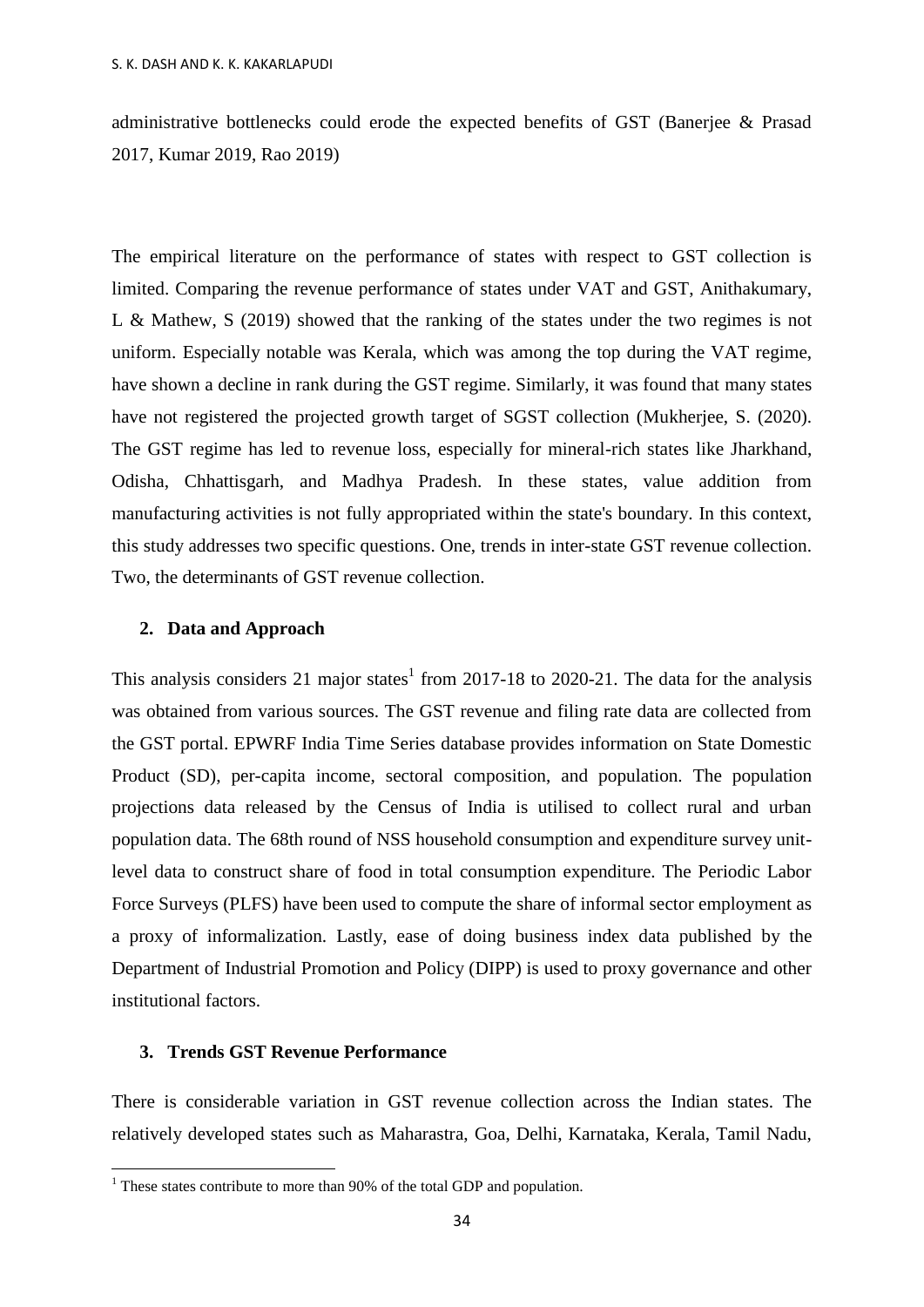administrative bottlenecks could erode the expected benefits of GST (Banerjee & Prasad 2017, Kumar 2019, Rao 2019)

The empirical literature on the performance of states with respect to GST collection is limited. Comparing the revenue performance of states under VAT and GST, [Anithakumary,](#page-6-0)  [L & Mathew,](#page-6-0) S (2019) showed that the ranking of the states under the two regimes is not uniform. Especially notable was Kerala, which was among the top during the VAT regime, have shown a decline in rank during the GST regime. Similarly, it was found that many states have not registered the projected growth target of SGST collection [\(Mukherjee, S. \(2020\).](#page-6-1) The GST regime has led to revenue loss, especially for mineral-rich states like Jharkhand, Odisha, Chhattisgarh, and Madhya Pradesh. In these states, value addition from manufacturing activities is not fully appropriated within the state's boundary. In this context, this study addresses two specific questions. One, trends in inter-state GST revenue collection. Two, the determinants of GST revenue collection.

### **2. Data and Approach**

This analysis considers 21 major states<sup>1</sup> from 2017-18 to 2020-21. The data for the analysis was obtained from various sources. The GST revenue and filing rate data are collected from the GST portal. EPWRF India Time Series database provides information on State Domestic Product (SD), per-capita income, sectoral composition, and population. The population projections data released by the Census of India is utilised to collect rural and urban population data. The 68th round of NSS household consumption and expenditure survey unitlevel data to construct share of food in total consumption expenditure. The Periodic Labor Force Surveys (PLFS) have been used to compute the share of informal sector employment as a proxy of informalization. Lastly, ease of doing business index data published by the Department of Industrial Promotion and Policy (DIPP) is used to proxy governance and other institutional factors.

# **3. Trends GST Revenue Performance**

**.** 

There is considerable variation in GST revenue collection across the Indian states. The relatively developed states such as Maharastra, Goa, Delhi, Karnataka, Kerala, Tamil Nadu,

 $1$ <sup>1</sup> These states contribute to more than 90% of the total GDP and population.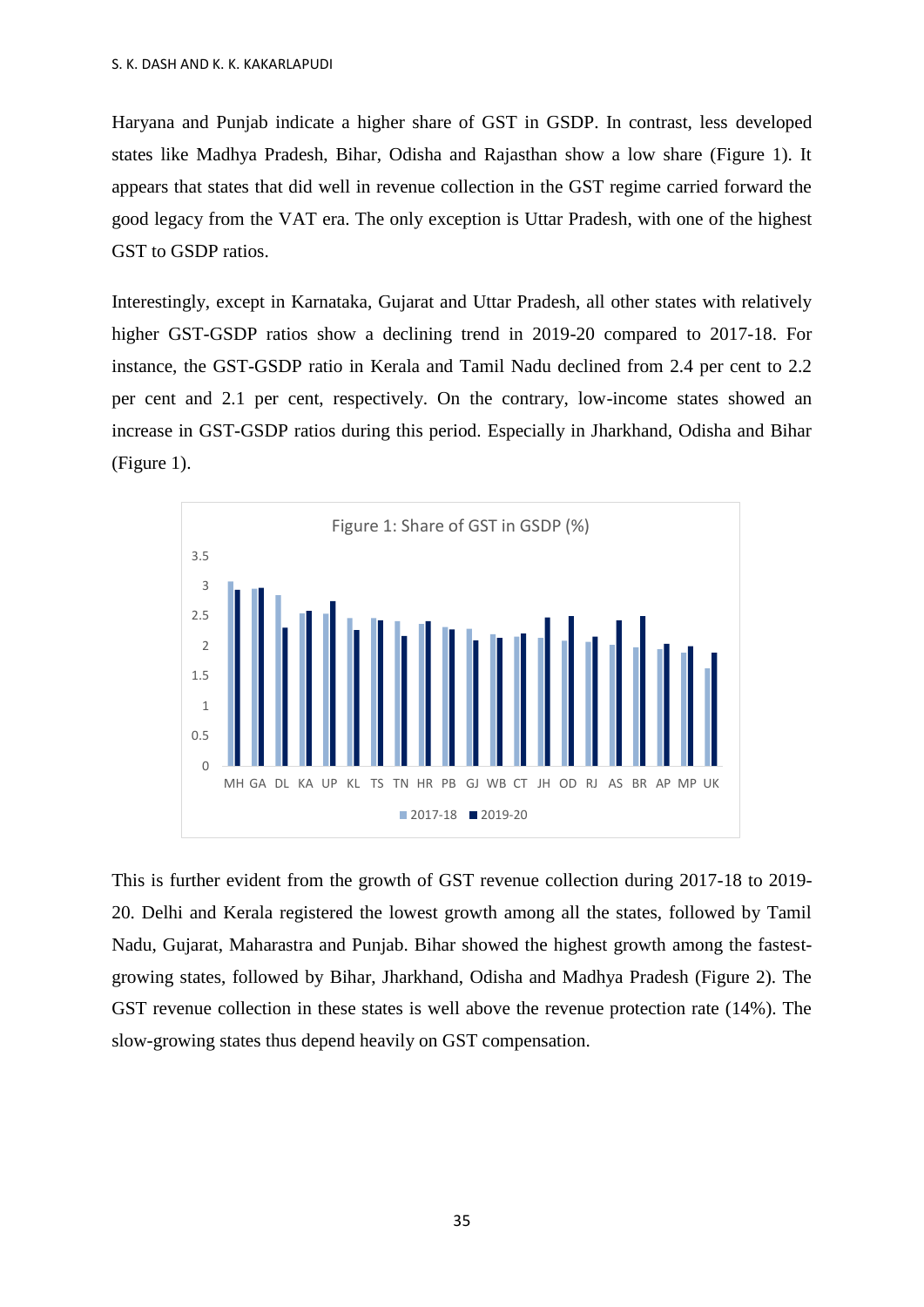Haryana and Punjab indicate a higher share of GST in GSDP. In contrast, less developed states like Madhya Pradesh, Bihar, Odisha and Rajasthan show a low share (Figure 1). It appears that states that did well in revenue collection in the GST regime carried forward the good legacy from the VAT era. The only exception is Uttar Pradesh, with one of the highest GST to GSDP ratios.

Interestingly, except in Karnataka, Gujarat and Uttar Pradesh, all other states with relatively higher GST-GSDP ratios show a declining trend in 2019-20 compared to 2017-18. For instance, the GST-GSDP ratio in Kerala and Tamil Nadu declined from 2.4 per cent to 2.2 per cent and 2.1 per cent, respectively. On the contrary, low-income states showed an increase in GST-GSDP ratios during this period. Especially in Jharkhand, Odisha and Bihar (Figure 1).



This is further evident from the growth of GST revenue collection during 2017-18 to 2019- 20. Delhi and Kerala registered the lowest growth among all the states, followed by Tamil Nadu, Gujarat, Maharastra and Punjab. Bihar showed the highest growth among the fastestgrowing states, followed by Bihar, Jharkhand, Odisha and Madhya Pradesh (Figure 2). The GST revenue collection in these states is well above the revenue protection rate (14%). The slow-growing states thus depend heavily on GST compensation.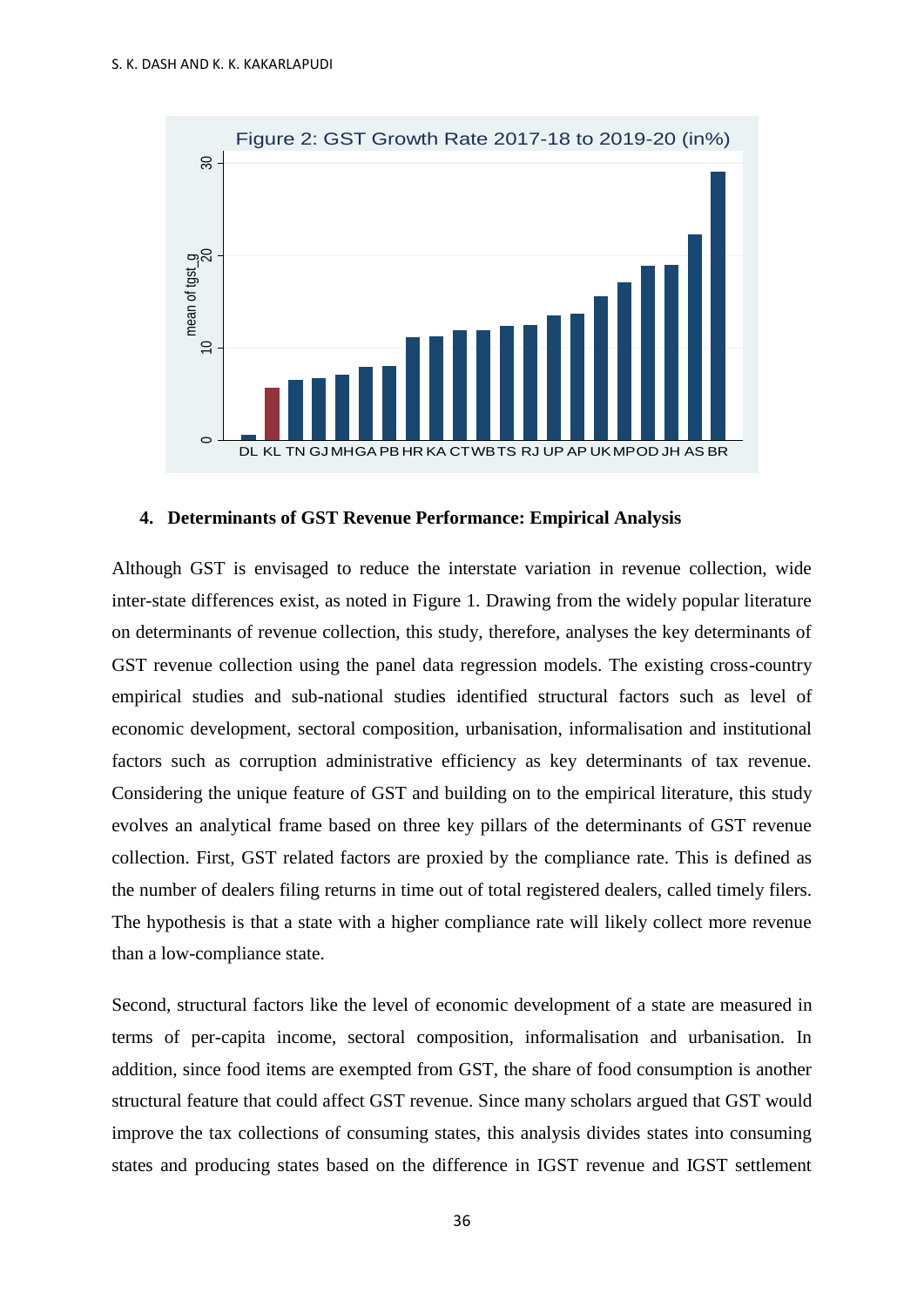

## **4. Determinants of GST Revenue Performance: Empirical Analysis**

Although GST is envisaged to reduce the interstate variation in revenue collection, wide inter-state differences exist, as noted in Figure 1. Drawing from the widely popular literature on determinants of revenue collection, this study, therefore, analyses the key determinants of GST revenue collection using the panel data regression models. The existing cross-country empirical studies and sub-national studies identified structural factors such as level of economic development, sectoral composition, urbanisation, informalisation and institutional factors such as corruption administrative efficiency as key determinants of tax revenue. Considering the unique feature of GST and building on to the empirical literature, this study evolves an analytical frame based on three key pillars of the determinants of GST revenue collection. First, GST related factors are proxied by the compliance rate. This is defined as the number of dealers filing returns in time out of total registered dealers, called timely filers. The hypothesis is that a state with a higher compliance rate will likely collect more revenue than a low-compliance state.

Second, structural factors like the level of economic development of a state are measured in terms of per-capita income, sectoral composition, informalisation and urbanisation. In addition, since food items are exempted from GST, the share of food consumption is another structural feature that could affect GST revenue. Since many scholars argued that GST would improve the tax collections of consuming states, this analysis divides states into consuming states and producing states based on the difference in IGST revenue and IGST settlement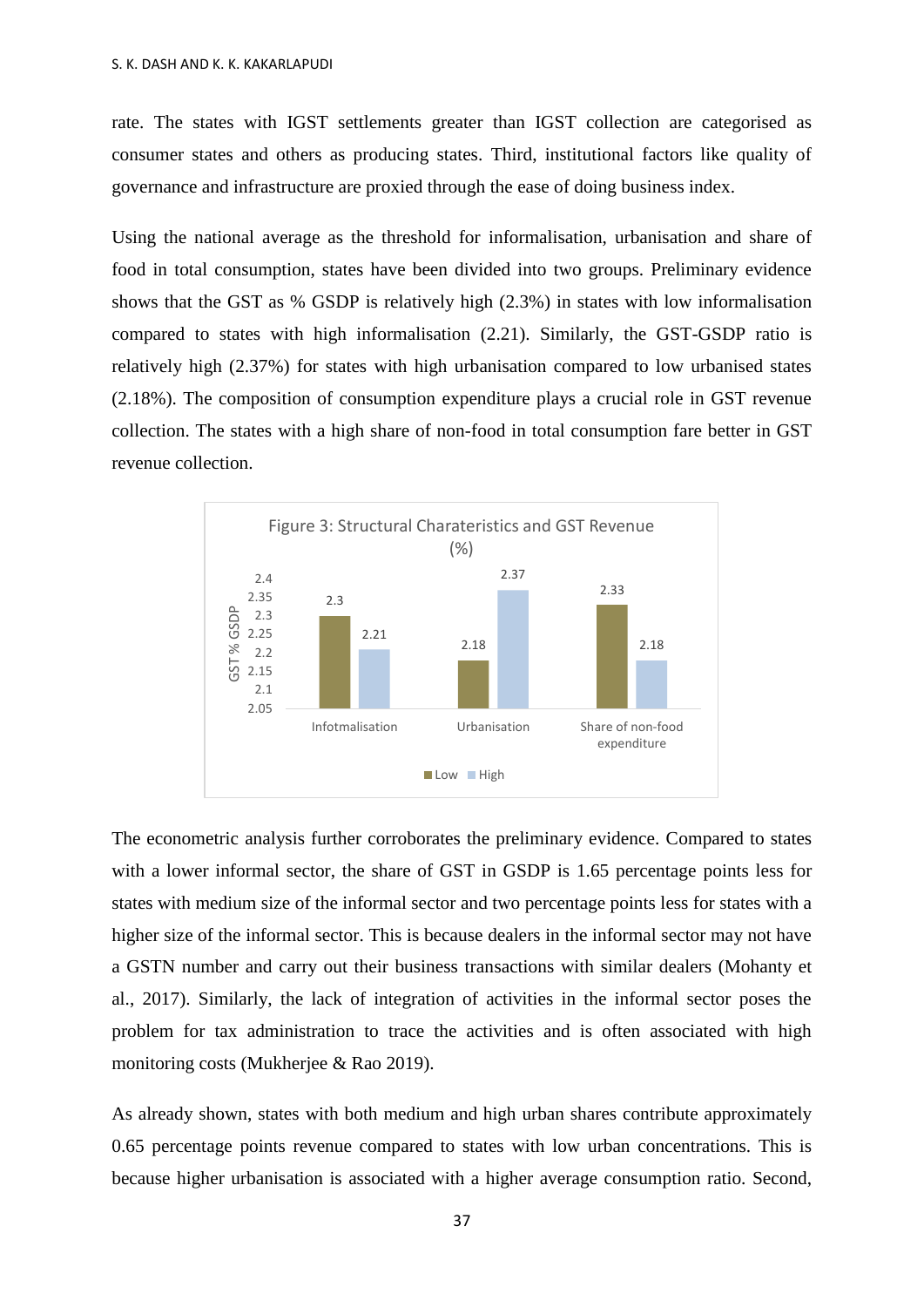rate. The states with IGST settlements greater than IGST collection are categorised as consumer states and others as producing states. Third, institutional factors like quality of governance and infrastructure are proxied through the ease of doing business index.

Using the national average as the threshold for informalisation, urbanisation and share of food in total consumption, states have been divided into two groups. Preliminary evidence shows that the GST as % GSDP is relatively high (2.3%) in states with low informalisation compared to states with high informalisation (2.21). Similarly, the GST-GSDP ratio is relatively high (2.37%) for states with high urbanisation compared to low urbanised states (2.18%). The composition of consumption expenditure plays a crucial role in GST revenue collection. The states with a high share of non-food in total consumption fare better in GST revenue collection.



The econometric analysis further corroborates the preliminary evidence. Compared to states with a lower informal sector, the share of GST in GSDP is 1.65 percentage points less for states with medium size of the informal sector and two percentage points less for states with a higher size of the informal sector. This is because dealers in the informal sector may not have a GSTN number and carry out their business transactions with similar dealers (Mohanty et al., 2017). Similarly, the lack of integration of activities in the informal sector poses the problem for tax administration to trace the activities and is often associated with high monitoring costs (Mukherjee & Rao 2019).

As already shown, states with both medium and high urban shares contribute approximately 0.65 percentage points revenue compared to states with low urban concentrations. This is because higher urbanisation is associated with a higher average consumption ratio. Second,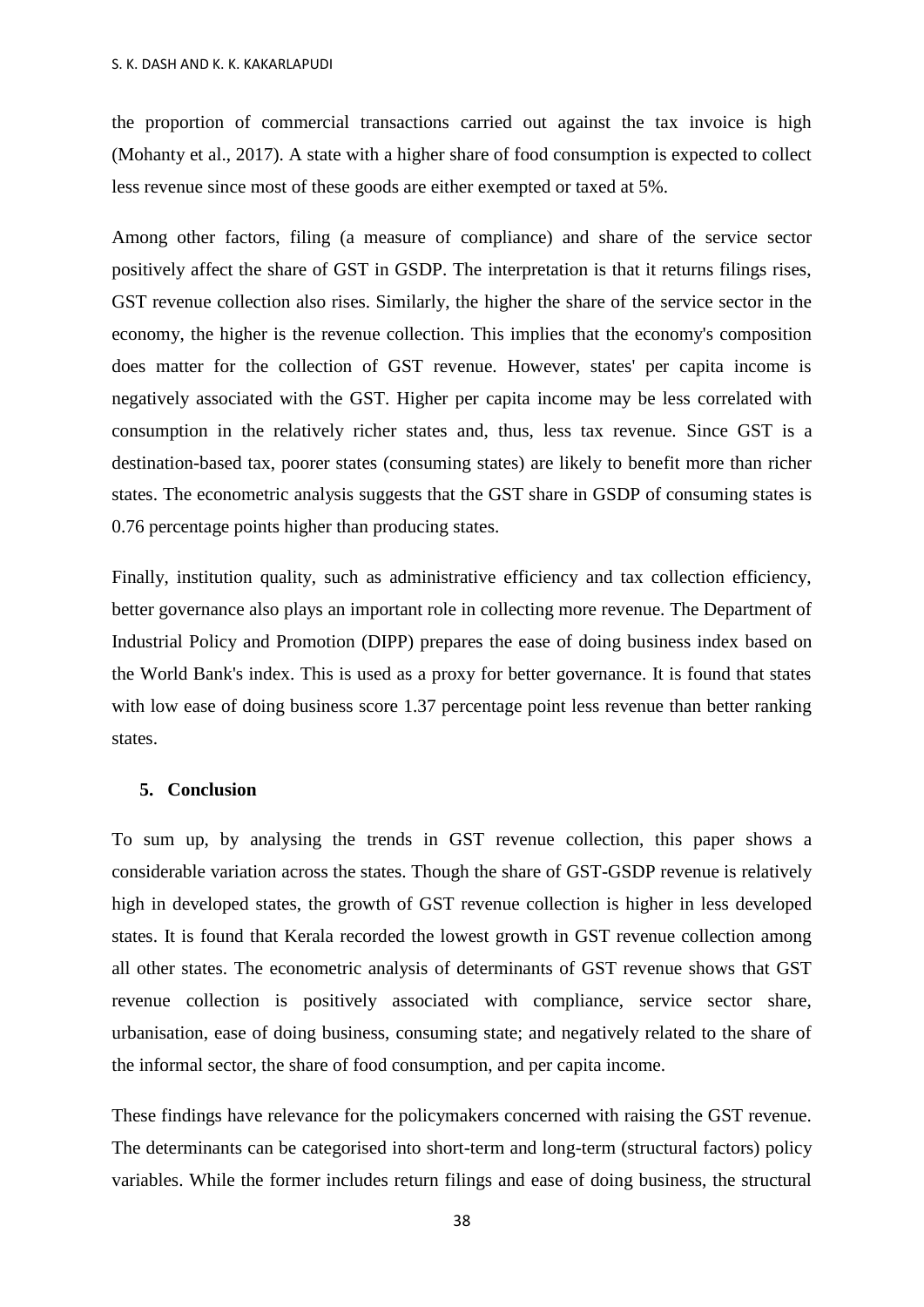the proportion of commercial transactions carried out against the tax invoice is high (Mohanty et al., 2017). A state with a higher share of food consumption is expected to collect less revenue since most of these goods are either exempted or taxed at 5%.

Among other factors, filing (a measure of compliance) and share of the service sector positively affect the share of GST in GSDP. The interpretation is that it returns filings rises, GST revenue collection also rises. Similarly, the higher the share of the service sector in the economy, the higher is the revenue collection. This implies that the economy's composition does matter for the collection of GST revenue. However, states' per capita income is negatively associated with the GST. Higher per capita income may be less correlated with consumption in the relatively richer states and, thus, less tax revenue. Since GST is a destination-based tax, poorer states (consuming states) are likely to benefit more than richer states. The econometric analysis suggests that the GST share in GSDP of consuming states is 0.76 percentage points higher than producing states.

Finally, institution quality, such as administrative efficiency and tax collection efficiency, better governance also plays an important role in collecting more revenue. The Department of Industrial Policy and Promotion (DIPP) prepares the ease of doing business index based on the World Bank's index. This is used as a proxy for better governance. It is found that states with low ease of doing business score 1.37 percentage point less revenue than better ranking states.

## **5. Conclusion**

To sum up, by analysing the trends in GST revenue collection, this paper shows a considerable variation across the states. Though the share of GST-GSDP revenue is relatively high in developed states, the growth of GST revenue collection is higher in less developed states. It is found that Kerala recorded the lowest growth in GST revenue collection among all other states. The econometric analysis of determinants of GST revenue shows that GST revenue collection is positively associated with compliance, service sector share, urbanisation, ease of doing business, consuming state; and negatively related to the share of the informal sector, the share of food consumption, and per capita income.

These findings have relevance for the policymakers concerned with raising the GST revenue. The determinants can be categorised into short-term and long-term (structural factors) policy variables. While the former includes return filings and ease of doing business, the structural